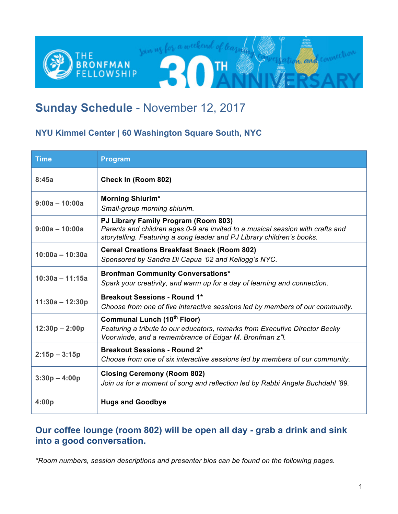

# **Sunday Schedule** - November 12, 2017

### **NYU Kimmel Center | 60 Washington Square South, NYC**

| <b>Time</b>       | <b>Program</b>                                                                                                                                                                                   |  |
|-------------------|--------------------------------------------------------------------------------------------------------------------------------------------------------------------------------------------------|--|
| 8:45a             | Check In (Room 802)                                                                                                                                                                              |  |
| $9:00a - 10:00a$  | <b>Morning Shiurim*</b><br>Small-group morning shiurim.                                                                                                                                          |  |
| $9:00a - 10:00a$  | PJ Library Family Program (Room 803)<br>Parents and children ages 0-9 are invited to a musical session with crafts and<br>storytelling. Featuring a song leader and PJ Library children's books. |  |
| $10:00a - 10:30a$ | <b>Cereal Creations Breakfast Snack (Room 802)</b><br>Sponsored by Sandra Di Capua '02 and Kellogg's NYC.                                                                                        |  |
| $10:30a - 11:15a$ | <b>Bronfman Community Conversations*</b><br>Spark your creativity, and warm up for a day of learning and connection.                                                                             |  |
| $11:30a - 12:30p$ | <b>Breakout Sessions - Round 1*</b><br>Choose from one of five interactive sessions led by members of our community.                                                                             |  |
| $12:30p - 2:00p$  | <b>Communal Lunch (10th Floor)</b><br>Featuring a tribute to our educators, remarks from Executive Director Becky<br>Voorwinde, and a remembrance of Edgar M. Bronfman z"l.                      |  |
| $2:15p - 3:15p$   | <b>Breakout Sessions - Round 2*</b><br>Choose from one of six interactive sessions led by members of our community.                                                                              |  |
| $3:30p - 4:00p$   | <b>Closing Ceremony (Room 802)</b><br>Join us for a moment of song and reflection led by Rabbi Angela Buchdahl '89.                                                                              |  |
| 4:00p             | <b>Hugs and Goodbye</b>                                                                                                                                                                          |  |

### **Our coffee lounge (room 802) will be open all day - grab a drink and sink into a good conversation.**

*\*Room numbers, session descriptions and presenter bios can be found on the following pages.*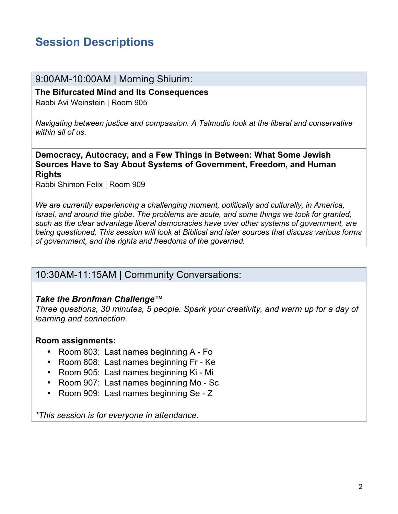# **Session Descriptions**

### 9:00AM-10:00AM | Morning Shiurim:

**The Bifurcated Mind and Its Consequences** Rabbi Avi Weinstein | Room 905

*Navigating between justice and compassion. A Talmudic look at the liberal and conservative within all of us.*

**Democracy, Autocracy, and a Few Things in Between: What Some Jewish Sources Have to Say About Systems of Government, Freedom, and Human Rights**

Rabbi Shimon Felix | Room 909

*We are currently experiencing a challenging moment, politically and culturally, in America, Israel, and around the globe. The problems are acute, and some things we took for granted, such as the clear advantage liberal democracies have over other systems of government, are being questioned. This session will look at Biblical and later sources that discuss various forms of government, and the rights and freedoms of the governed.*

### 10:30AM-11:15AM | Community Conversations:

#### *Take the Bronfman Challenge™*

*Three questions, 30 minutes, 5 people. Spark your creativity, and warm up for a day of learning and connection.* 

#### **Room assignments:**

- Room 803: Last names beginning A Fo
- Room 808: Last names beginning Fr Ke
- Room 905: Last names beginning Ki Mi
- Room 907: Last names beginning Mo Sc
- Room 909: Last names beginning Se Z

*\*This session is for everyone in attendance.*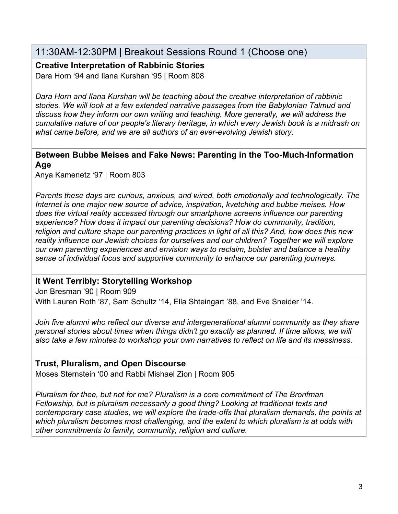### 11:30AM-12:30PM | Breakout Sessions Round 1 (Choose one)

**Creative Interpretation of Rabbinic Stories**

Dara Horn '94 and Ilana Kurshan '95 | Room 808

*Dara Horn and Ilana Kurshan will be teaching about the creative interpretation of rabbinic stories. We will look at a few extended narrative passages from the Babylonian Talmud and discuss how they inform our own writing and teaching. More generally, we will address the cumulative nature of our people's literary heritage, in which every Jewish book is a midrash on what came before, and we are all authors of an ever-evolving Jewish story.*

#### **Between Bubbe Meises and Fake News: Parenting in the Too-Much-Information Age**

Anya Kamenetz '97 | Room 803

*Parents these days are curious, anxious, and wired, both emotionally and technologically. The Internet is one major new source of advice, inspiration, kvetching and bubbe meises. How does the virtual reality accessed through our smartphone screens influence our parenting experience? How does it impact our parenting decisions? How do community, tradition, religion and culture shape our parenting practices in light of all this? And, how does this new reality influence our Jewish choices for ourselves and our children? Together we will explore our own parenting experiences and envision ways to reclaim, bolster and balance a healthy sense of individual focus and supportive community to enhance our parenting journeys.*

### **It Went Terribly: Storytelling Workshop**

Jon Bresman '90 | Room 909 With Lauren Roth '87, Sam Schultz '14, Ella Shteingart '88, and Eve Sneider '14.

*Join five alumni who reflect our diverse and intergenerational alumni community as they share personal stories about times when things didn't go exactly as planned. If time allows, we will also take a few minutes to workshop your own narratives to reflect on life and its messiness.* 

### **Trust, Pluralism, and Open Discourse**

Moses Sternstein '00 and Rabbi Mishael Zion | Room 905

*Pluralism for thee, but not for me? Pluralism is a core commitment of The Bronfman Fellowship, but is pluralism necessarily a good thing? Looking at traditional texts and contemporary case studies, we will explore the trade-offs that pluralism demands, the points at which pluralism becomes most challenging, and the extent to which pluralism is at odds with other commitments to family, community, religion and culture.*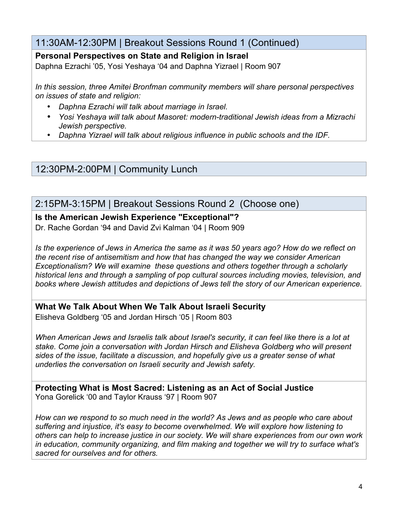### 11:30AM-12:30PM | Breakout Sessions Round 1 (Continued)

### **Personal Perspectives on State and Religion in Israel**

Daphna Ezrachi '05, Yosi Yeshaya '04 and Daphna Yizrael | Room 907

*In this session, three Amitei Bronfman community members will share personal perspectives on issues of state and religion:*

- *Daphna Ezrachi will talk about marriage in Israel.*
- *Yosi Yeshaya will talk about Masoret: modern-traditional Jewish ideas from a Mizrachi Jewish perspective.*
- *Daphna Yizrael will talk about religious influence in public schools and the IDF.*

12:30PM-2:00PM | Community Lunch

### 2:15PM-3:15PM | Breakout Sessions Round 2 (Choose one)

### **Is the American Jewish Experience "Exceptional"?**

Dr. Rache Gordan '94 and David Zvi Kalman '04 | Room 909

*Is the experience of Jews in America the same as it was 50 years ago? How do we reflect on the recent rise of antisemitism and how that has changed the way we consider American Exceptionalism? We will examine these questions and others together through a scholarly historical lens and through a sampling of pop cultural sources including movies, television, and books where Jewish attitudes and depictions of Jews tell the story of our American experience.*

**What We Talk About When We Talk About Israeli Security**  Elisheva Goldberg '05 and Jordan Hirsch '05 | Room 803

*When American Jews and Israelis talk about Israel's security, it can feel like there is a lot at stake. Come join a conversation with Jordan Hirsch and Elisheva Goldberg who will present sides of the issue, facilitate a discussion, and hopefully give us a greater sense of what underlies the conversation on Israeli security and Jewish safety.*

**Protecting What is Most Sacred: Listening as an Act of Social Justice** Yona Gorelick '00 and Taylor Krauss '97 | Room 907

*How can we respond to so much need in the world? As Jews and as people who care about suffering and injustice, it's easy to become overwhelmed. We will explore how listening to others can help to increase justice in our society. We will share experiences from our own work in education, community organizing, and film making and together we will try to surface what's sacred for ourselves and for others.*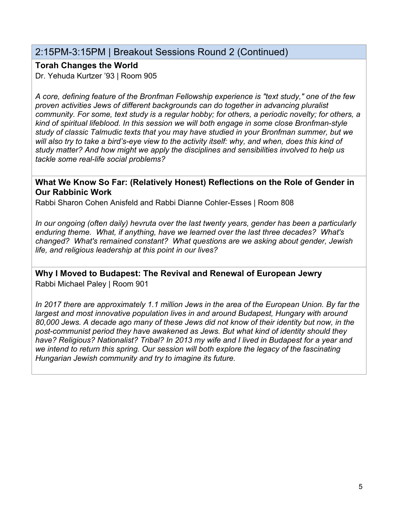### 2:15PM-3:15PM | Breakout Sessions Round 2 (Continued)

### **Torah Changes the World**

Dr. Yehuda Kurtzer '93 | Room 905

*A core, defining feature of the Bronfman Fellowship experience is "text study," one of the few proven activities Jews of different backgrounds can do together in advancing pluralist community. For some, text study is a regular hobby; for others, a periodic novelty; for others, a kind of spiritual lifeblood. In this session we will both engage in some close Bronfman-style study of classic Talmudic texts that you may have studied in your Bronfman summer, but we*  will also try to take a bird's-eye view to the activity itself: why, and when, does this kind of *study matter? And how might we apply the disciplines and sensibilities involved to help us tackle some real-life social problems?*

#### **What We Know So Far: (Relatively Honest) Reflections on the Role of Gender in Our Rabbinic Work**

Rabbi Sharon Cohen Anisfeld and Rabbi Dianne Cohler-Esses | Room 808

*In our ongoing (often daily) hevruta over the last twenty years, gender has been a particularly enduring theme. What, if anything, have we learned over the last three decades? What's changed? What's remained constant? What questions are we asking about gender, Jewish life, and religious leadership at this point in our lives?*

**Why I Moved to Budapest: The Revival and Renewal of European Jewry** Rabbi Michael Paley | Room 901

*In 2017 there are approximately 1.1 million Jews in the area of the European Union. By far the largest and most innovative population lives in and around Budapest, Hungary with around 80,000 Jews. A decade ago many of these Jews did not know of their identity but now, in the post-communist period they have awakened as Jews. But what kind of identity should they have? Religious? Nationalist? Tribal? In 2013 my wife and I lived in Budapest for a year and we intend to return this spring. Our session will both explore the legacy of the fascinating Hungarian Jewish community and try to imagine its future.*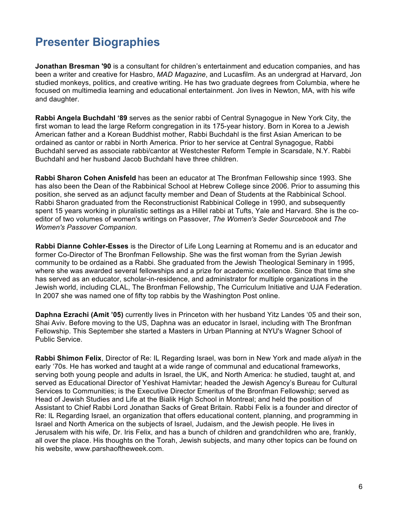# **Presenter Biographies**

**Jonathan Bresman '90** is a consultant for children's entertainment and education companies, and has been a writer and creative for Hasbro, *MAD Magazine*, and Lucasfilm. As an undergrad at Harvard, Jon studied monkeys, politics, and creative writing. He has two graduate degrees from Columbia, where he focused on multimedia learning and educational entertainment. Jon lives in Newton, MA, with his wife and daughter.

**Rabbi Angela Buchdahl '89** serves as the senior rabbi of Central Synagogue in New York City, the first woman to lead the large Reform congregation in its 175-year history. Born in Korea to a Jewish American father and a Korean Buddhist mother, Rabbi Buchdahl is the first Asian American to be ordained as cantor or rabbi in North America. Prior to her service at Central Synagogue, Rabbi Buchdahl served as associate rabbi/cantor at Westchester Reform Temple in Scarsdale, N.Y. Rabbi Buchdahl and her husband Jacob Buchdahl have three children.

**Rabbi Sharon Cohen Anisfeld** has been an educator at The Bronfman Fellowship since 1993. She has also been the Dean of the Rabbinical School at Hebrew College since 2006. Prior to assuming this position, she served as an adjunct faculty member and Dean of Students at the Rabbinical School. Rabbi Sharon graduated from the Reconstructionist Rabbinical College in 1990, and subsequently spent 15 years working in pluralistic settings as a Hillel rabbi at Tufts, Yale and Harvard. She is the coeditor of two volumes of women's writings on Passover, *The Women's Seder Sourcebook* and *The Women's Passover Companion*.

**Rabbi Dianne Cohler-Esses** is the Director of Life Long Learning at Romemu and is an educator and former Co-Director of The Bronfman Fellowship. She was the first woman from the Syrian Jewish community to be ordained as a Rabbi. She graduated from the Jewish Theological Seminary in 1995, where she was awarded several fellowships and a prize for academic excellence. Since that time she has served as an educator, scholar-in-residence, and administrator for multiple organizations in the Jewish world, including CLAL, The Bronfman Fellowship, The Curriculum Initiative and UJA Federation. In 2007 she was named one of fifty top rabbis by the Washington Post online.

**Daphna Ezrachi (Amit '05)** currently lives in Princeton with her husband Yitz Landes '05 and their son, Shai Aviv. Before moving to the US, Daphna was an educator in Israel, including with The Bronfman Fellowship. This September she started a Masters in Urban Planning at NYU's Wagner School of Public Service.

**Rabbi Shimon Felix**, Director of Re: IL Regarding Israel, was born in New York and made *aliyah* in the early '70s. He has worked and taught at a wide range of communal and educational frameworks, serving both young people and adults in Israel, the UK, and North America: he studied, taught at, and served as Educational Director of Yeshivat Hamivtar; headed the Jewish Agency's Bureau for Cultural Services to Communities; is the Executive Director Emeritus of the Bronfman Fellowship; served as Head of Jewish Studies and Life at the Bialik High School in Montreal; and held the position of Assistant to Chief Rabbi Lord Jonathan Sacks of Great Britain. Rabbi Felix is a founder and director of Re: IL Regarding Israel, an organization that offers educational content, planning, and programming in Israel and North America on the subjects of Israel, Judaism, and the Jewish people. He lives in Jerusalem with his wife, Dr. Iris Felix, and has a bunch of children and grandchildren who are, frankly, all over the place. His thoughts on the Torah, Jewish subjects, and many other topics can be found on his website, www.parshaoftheweek.com.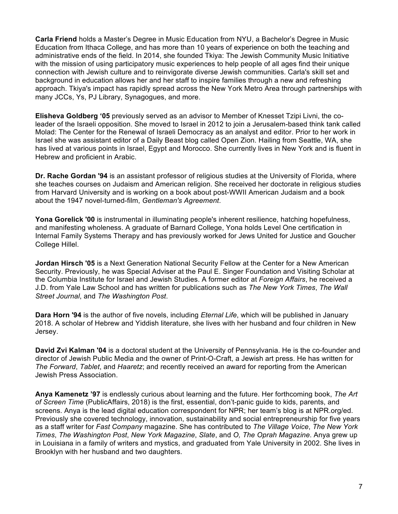**Carla Friend** holds a Master's Degree in Music Education from NYU, a Bachelor's Degree in Music Education from Ithaca College, and has more than 10 years of experience on both the teaching and administrative ends of the field. In 2014, she founded Tkiya: The Jewish Community Music Initiative with the mission of using participatory music experiences to help people of all ages find their unique connection with Jewish culture and to reinvigorate diverse Jewish communities. Carla's skill set and background in education allows her and her staff to inspire families through a new and refreshing approach. Tkiya's impact has rapidly spread across the New York Metro Area through partnerships with many JCCs, Ys, PJ Library, Synagogues, and more.

**Elisheva Goldberg '05** previously served as an advisor to Member of Knesset Tzipi Livni, the coleader of the Israeli opposition. She moved to Israel in 2012 to join a Jerusalem-based think tank called Molad: The Center for the Renewal of Israeli Democracy as an analyst and editor. Prior to her work in Israel she was assistant editor of a Daily Beast blog called Open Zion. Hailing from Seattle, WA, she has lived at various points in Israel, Egypt and Morocco. She currently lives in New York and is fluent in Hebrew and proficient in Arabic.

**Dr. Rache Gordan '94** is an assistant professor of religious studies at the University of Florida, where she teaches courses on Judaism and American religion. She received her doctorate in religious studies from Harvard University and is working on a book about post-WWII American Judaism and a book about the 1947 novel-turned-film, *Gentleman's Agreement*.

**Yona Gorelick '00** is instrumental in illuminating people's inherent resilience, hatching hopefulness, and manifesting wholeness. A graduate of Barnard College, Yona holds Level One certification in Internal Family Systems Therapy and has previously worked for Jews United for Justice and Goucher College Hillel.

**Jordan Hirsch '05** is a Next Generation National Security Fellow at the Center for a New American Security. Previously, he was Special Adviser at the Paul E. Singer Foundation and Visiting Scholar at the Columbia Institute for Israel and Jewish Studies. A former editor at *Foreign Affairs*, he received a J.D. from Yale Law School and has written for publications such as *The New York Times*, *The Wall Street Journal*, and *The Washington Post*.

**Dara Horn '94** is the author of five novels, including *Eternal Life*, which will be published in January 2018. A scholar of Hebrew and Yiddish literature, she lives with her husband and four children in New Jersey.

**David Zvi Kalman '04** is a doctoral student at the University of Pennsylvania. He is the co-founder and director of Jewish Public Media and the owner of Print-O-Craft, a Jewish art press. He has written for *The Forward*, *Tablet*, and *Haaretz*; and recently received an award for reporting from the American Jewish Press Association.

**Anya Kamenetz '97** is endlessly curious about learning and the future. Her forthcoming book, *The Art of Screen Time* (PublicAffairs, 2018) is the first, essential, don't-panic guide to kids, parents, and screens. Anya is the lead digital education correspondent for NPR; her team's blog is at NPR.org/ed. Previously she covered technology, innovation, sustainability and social entrepreneurship for five years as a staff writer for *Fast Company* magazine. She has contributed to *The Village Voice*, *The New York Times*, *The Washington Post*, *New York Magazine*, *Slate*, and *O, The Oprah Magazine*. Anya grew up in Louisiana in a family of writers and mystics, and graduated from Yale University in 2002. She lives in Brooklyn with her husband and two daughters.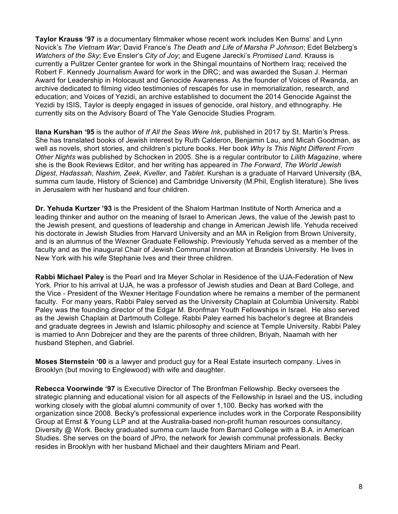**Taylor Krauss '97** is a documentary filmmaker whose recent work includes Ken Burns' and Lynn Novick's *The Vietnam War*; David France's *The Death and Life of Marsha P Johnson*; Edet Belzberg's *Watchers of the Sky*; Eve Ensler's *City of Joy*; and Eugene Jarecki's *Promised Land*. Krauss is currently a Pulitzer Center grantee for work in the Shingal mountains of Northern Iraq; received the Robert F. Kennedy Journalism Award for work in the DRC; and was awarded the Susan J. Herman Award for Leadership in Holocaust and Genocide Awareness. As the founder of Voices of Rwanda, an archive dedicated to filming video testimonies of rescapés for use in memorialization, research, and education; and Voices of Yezidi, an archive established to document the 2014 Genocide Against the Yezidi by ISIS, Taylor is deeply engaged in issues of genocide, oral history, and ethnography. He currently sits on the Advisory Board of The Yale Genocide Studies Program.

**Ilana Kurshan '95** is the author of *If All the Seas Were Ink*, published in 2017 by St. Martin's Press. She has translated books of Jewish interest by Ruth Calderon, Benjamin Lau, and Micah Goodman, as well as novels, short stories, and children's picture books. Her book *Why Is This Night Different From Other Nights* was published by Schocken in 2005. She is a regular contributor to *Lilith Magazine*, where she is the Book Reviews Editor, and her writing has appeared in *The Forward*, *The World Jewish Digest*, *Hadassah*, *Nashim, Zeek*, *Kveller*, and *Tablet*. Kurshan is a graduate of Harvard University (BA, summa cum laude, History of Science) and Cambridge University (M.Phil, English literature). She lives in Jerusalem with her husband and four children.

**Dr. Yehuda Kurtzer '93** is the President of the Shalom Hartman Institute of North America and a leading thinker and author on the meaning of Israel to American Jews, the value of the Jewish past to the Jewish present, and questions of leadership and change in American Jewish life. Yehuda received his doctorate in Jewish Studies from Harvard University and an MA in Religion from Brown University, and is an alumnus of the Wexner Graduate Fellowship. Previously Yehuda served as a member of the faculty and as the inaugural Chair of Jewish Communal Innovation at Brandeis University. He lives in New York with his wife Stephanie Ives and their three children.

**Rabbi Michael Paley** is the Pearl and Ira Meyer Scholar in Residence of the UJA-Federation of New York. Prior to his arrival at UJA, he was a professor of Jewish studies and Dean at Bard College, and the Vice - President of the Wexner Heritage Foundation where he remains a member of the permanent faculty. For many years, Rabbi Paley served as the University Chaplain at Columbia University. Rabbi Paley was the founding director of the Edgar M. Bronfman Youth Fellowships in Israel. He also served as the Jewish Chaplain at Dartmouth College. Rabbi Paley earned his bachelor's degree at Brandeis and graduate degrees in Jewish and Islamic philosophy and science at Temple University. Rabbi Paley is married to Ann Dobrejcer and they are the parents of three children, Briyah, Naamah with her husband Stephen, and Gabriel.

**Moses Sternstein '00** is a lawyer and product guy for a Real Estate insurtech company. Lives in Brooklyn (but moving to Englewood) with wife and daughter.

**Rebecca Voorwinde '97** is Executive Director of The Bronfman Fellowship. Becky oversees the strategic planning and educational vision for all aspects of the Fellowship in Israel and the US, including working closely with the global alumni community of over 1,100. Becky has worked with the organization since 2008. Becky's professional experience includes work in the Corporate Responsibility Group at Ernst & Young LLP and at the Australia-based non-profit human resources consultancy, Diversity @ Work. Becky graduated summa cum laude from Barnard College with a B.A. in American Studies. She serves on the board of JPro, the network for Jewish communal professionals. Becky resides in Brooklyn with her husband Michael and their daughters Miriam and Pearl.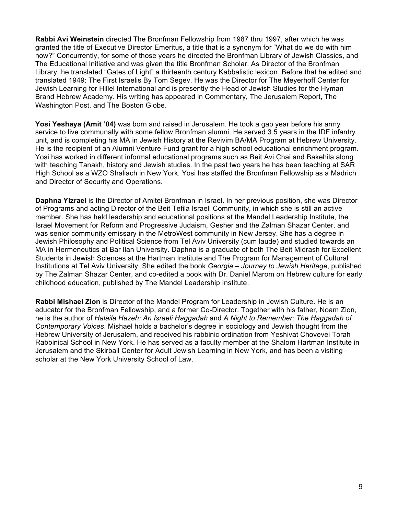**Rabbi Avi Weinstein** directed The Bronfman Fellowship from 1987 thru 1997, after which he was granted the title of Executive Director Emeritus, a title that is a synonym for "What do we do with him now?" Concurrently, for some of those years he directed the Bronfman Library of Jewish Classics, and The Educational Initiative and was given the title Bronfman Scholar. As Director of the Bronfman Library, he translated "Gates of Light" a thirteenth century Kabbalistic lexicon. Before that he edited and translated 1949: The First Israelis By Tom Segev. He was the Director for The Meyerhoff Center for Jewish Learning for Hillel International and is presently the Head of Jewish Studies for the Hyman Brand Hebrew Academy. His writing has appeared in Commentary, The Jerusalem Report, The Washington Post, and The Boston Globe.

**Yosi Yeshaya (Amit '04)** was born and raised in Jerusalem. He took a gap year before his army service to live communally with some fellow Bronfman alumni. He served 3.5 years in the IDF infantry unit, and is completing his MA in Jewish History at the Revivim BA/MA Program at Hebrew University. He is the recipient of an Alumni Venture Fund grant for a high school educational enrichment program. Yosi has worked in different informal educational programs such as Beit Avi Chai and Bakehila along with teaching Tanakh, history and Jewish studies. In the past two years he has been teaching at SAR High School as a WZO Shaliach in New York. Yosi has staffed the Bronfman Fellowship as a Madrich and Director of Security and Operations.

**Daphna Yizrael** is the Director of Amitei Bronfman in Israel. In her previous position, she was Director of Programs and acting Director of the Beit Tefila Israeli Community, in which she is still an active member. She has held leadership and educational positions at the Mandel Leadership Institute, the Israel Movement for Reform and Progressive Judaism, Gesher and the Zalman Shazar Center, and was senior community emissary in the MetroWest community in New Jersey. She has a degree in Jewish Philosophy and Political Science from Tel Aviv University (cum laude) and studied towards an MA in Hermeneutics at Bar Ilan University. Daphna is a graduate of both The Beit Midrash for Excellent Students in Jewish Sciences at the Hartman Institute and The Program for Management of Cultural Institutions at Tel Aviv University. She edited the book *Georgia – Journey to Jewish Heritage*, published by The Zalman Shazar Center, and co-edited a book with Dr. Daniel Marom on Hebrew culture for early childhood education, published by The Mandel Leadership Institute.

**Rabbi Mishael Zion** is Director of the Mandel Program for Leadership in Jewish Culture. He is an educator for the Bronfman Fellowship, and a former Co-Director. Together with his father, Noam Zion, he is the author of *Halaila Hazeh: An Israeli Haggadah* and *A Night to Remember: The Haggadah of Contemporary Voices*. Mishael holds a bachelor's degree in sociology and Jewish thought from the Hebrew University of Jerusalem, and received his rabbinic ordination from Yeshivat Chovevei Torah Rabbinical School in New York. He has served as a faculty member at the Shalom Hartman Institute in Jerusalem and the Skirball Center for Adult Jewish Learning in New York, and has been a visiting scholar at the New York University School of Law.